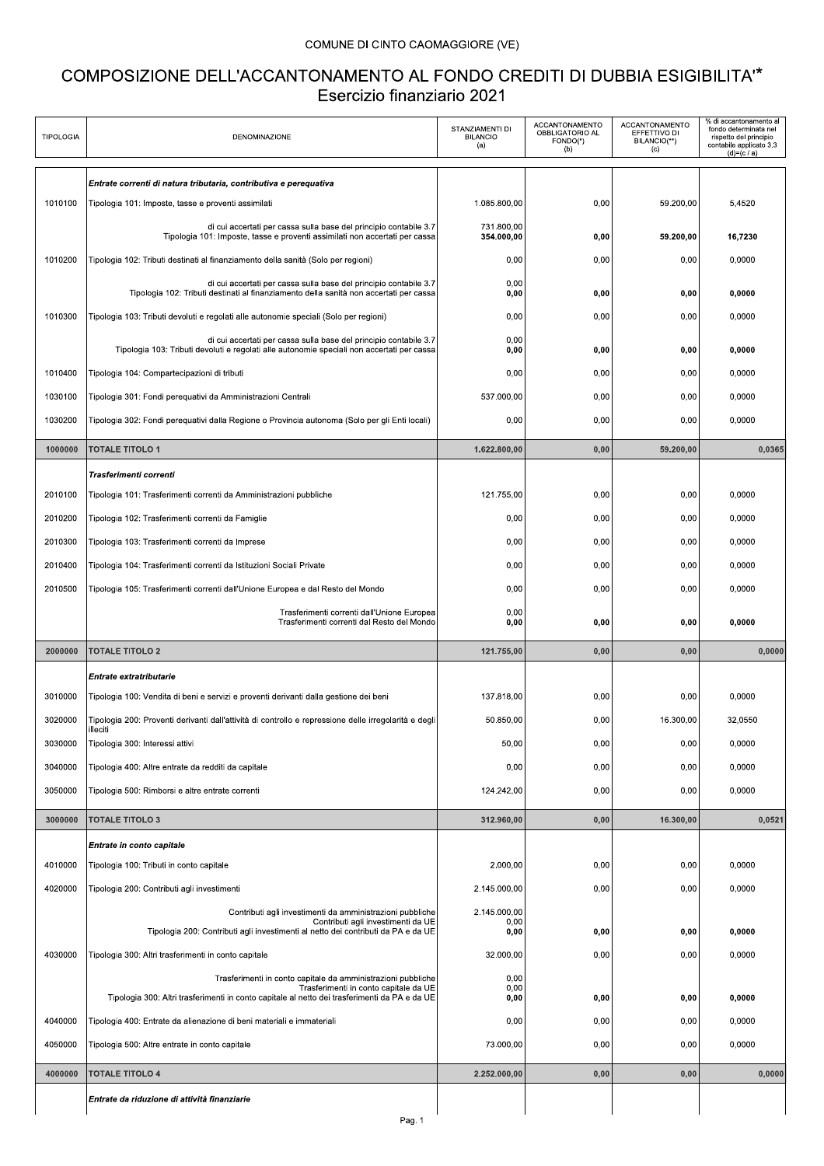## COMUNE DI CINTO CAOMAGGIORE (VE)

## COMPOSIZIONE DELL'ACCANTONAMENTO AL FONDO CREDITI DI DUBBIA ESIGIBILITA"\* Esercizio finanziario 2021

| <b>TIPOLOGIA</b> | <b>DENOMINAZIONE</b>                                                                                                                                                                                   | STANZIAMENTI DI<br><b>BILANCIO</b><br>(a) | ACCANTONAMENTO<br>OBBLIGATORIO AL<br>FONDO(*)<br>(b) | ACCANTONAMENTO<br>EFFETTIVO DI<br>BILANCIO(**)<br>(c) | % di accantonamento al<br>fondo determinata nel<br>rispetto del principio<br>contabile applicato 3.3<br>$(d)=(c/a)$ |
|------------------|--------------------------------------------------------------------------------------------------------------------------------------------------------------------------------------------------------|-------------------------------------------|------------------------------------------------------|-------------------------------------------------------|---------------------------------------------------------------------------------------------------------------------|
|                  | Entrate correnti di natura tributaria, contributiva e pereguativa                                                                                                                                      |                                           |                                                      |                                                       |                                                                                                                     |
| 1010100          | Tipologia 101: Imposte, tasse e proventi assimilati                                                                                                                                                    | 1.085.800,00                              | 0,00                                                 | 59.200,00                                             | 5,4520                                                                                                              |
|                  | di cui accertati per cassa sulla base del principio contabile 3.7<br>Tipologia 101: Imposte, tasse e proventi assimilati non accertati per cassa                                                       | 731.800,00<br>354.000,00                  | 0,00                                                 | 59.200,00                                             | 16,7230                                                                                                             |
| 1010200          | Tipologia 102: Tributi destinati al finanziamento della sanità (Solo per regioni)                                                                                                                      | 0,00                                      | 0,00                                                 | 0,00                                                  | 0,0000                                                                                                              |
|                  | di cui accertati per cassa sulla base del principio contabile 3.7<br>Tipologia 102: Tributi destinati al finanziamento della sanità non accertati per cassa                                            | 0.00<br>0,00                              | 0,00                                                 | 0,00                                                  | 0,0000                                                                                                              |
| 1010300          | Tipologia 103: Tributi devoluti e regolati alle autonomie speciali (Solo per regioni)                                                                                                                  | 0,00                                      | 0,00                                                 | 0,00                                                  | 0,0000                                                                                                              |
|                  | di cui accertati per cassa sulla base del principio contabile 3.7<br>Tipologia 103: Tributi devoluti e regolati alle autonomie speciali non accertati per cassa                                        | 0,00<br>0,00                              | 0,00                                                 | 0,00                                                  | 0,0000                                                                                                              |
| 1010400          | Tipologia 104: Compartecipazioni di tributi                                                                                                                                                            | 0,00                                      | 0,00                                                 | 0,00                                                  | 0,0000                                                                                                              |
| 1030100          | Tipologia 301: Fondi perequativi da Amministrazioni Centrali                                                                                                                                           | 537.000,00                                | 0,00                                                 | 0,00                                                  | 0,0000                                                                                                              |
| 1030200          | Tipologia 302: Fondi perequativi dalla Regione o Provincia autonoma (Solo per gli Enti locali)                                                                                                         | 0,00                                      | 0,00                                                 | 0,00                                                  | 0,0000                                                                                                              |
| 1000000          | <b>TOTALE TITOLO 1</b>                                                                                                                                                                                 | 1.622.800,00                              | 0,00                                                 | 59.200,00                                             | 0,0365                                                                                                              |
|                  | Trasferimenti correnti                                                                                                                                                                                 |                                           |                                                      |                                                       |                                                                                                                     |
| 2010100          | Tipologia 101: Trasferimenti correnti da Amministrazioni pubbliche                                                                                                                                     | 121.755,00                                | 0,00                                                 | 0,00                                                  | 0.0000                                                                                                              |
| 2010200          | Tipologia 102: Trasferimenti correnti da Famiglie                                                                                                                                                      | 0,00                                      | 0,00                                                 | 0,00                                                  | 0,0000                                                                                                              |
| 2010300          | Tipologia 103: Trasferimenti correnti da Imprese                                                                                                                                                       | 0,00                                      | 0,00                                                 | 0,00                                                  | 0,0000                                                                                                              |
| 2010400          | Tipologia 104: Trasferimenti correnti da Istituzioni Sociali Private                                                                                                                                   | 0,00                                      | 0,00                                                 | 0,00                                                  | 0,0000                                                                                                              |
| 2010500          | Tipologia 105: Trasferimenti correnti dall'Unione Europea e dal Resto del Mondo                                                                                                                        | 0,00                                      | 0,00                                                 | 0,00                                                  | 0,0000                                                                                                              |
|                  | Trasferimenti correnti dall'Unione Europea<br>Trasferimenti correnti dal Resto del Mondo                                                                                                               | 0,00<br>0,00                              | 0,00                                                 | 0.00                                                  | 0,0000                                                                                                              |
| 2000000          | <b>TOTALE TITOLO 2</b>                                                                                                                                                                                 | 121.755.00                                | 0,00                                                 | 0,00                                                  | 0,0000                                                                                                              |
|                  | Entrate extratributarie                                                                                                                                                                                |                                           |                                                      |                                                       |                                                                                                                     |
| 3010000          | Tipologia 100: Vendita di beni e servizi e proventi derivanti dalla gestione dei beni                                                                                                                  | 137.818.00                                | 0,00                                                 | 0,00                                                  | 0,0000                                                                                                              |
| 3020000          | Tipologia 200: Proventi derivanti dall'attività di controllo e repressione delle irregolarità e degli<br>illeciti                                                                                      | 50.850.00                                 | 0,00                                                 | 16.300,00                                             | 32,0550                                                                                                             |
| 3030000          | Tipologia 300: Interessi attivi                                                                                                                                                                        | 50,00                                     | 0,00                                                 | 0,00                                                  | 0,0000                                                                                                              |
| 3040000          | Tipologia 400: Altre entrate da redditi da capitale                                                                                                                                                    | 0,00                                      | 0,00                                                 | 0,00                                                  | 0,0000                                                                                                              |
| 3050000          | Tipologia 500: Rimborsi e altre entrate correnti                                                                                                                                                       | 124.242.00                                | 0,00                                                 | 0,00                                                  | 0,0000                                                                                                              |
| 3000000          | <b>TOTALE TITOLO 3</b>                                                                                                                                                                                 | 312.960,00                                | 0,00                                                 | 16.300,00                                             | 0,0521                                                                                                              |
|                  | Entrate in conto capitale                                                                                                                                                                              |                                           |                                                      |                                                       |                                                                                                                     |
| 4010000          |                                                                                                                                                                                                        |                                           |                                                      | 0,00                                                  | 0,0000                                                                                                              |
| 4020000          | Tipologia 100: Tributi in conto capitale                                                                                                                                                               | 2.000,00                                  | 0,00                                                 |                                                       |                                                                                                                     |
|                  | Tipologia 200: Contributi agli investimenti                                                                                                                                                            | 2.145.000,00                              | 0,00                                                 | 0,00                                                  | 0,0000                                                                                                              |
|                  | Contributi agli investimenti da amministrazioni pubbliche<br>Contributi agli investimenti da UE<br>Tipologia 200: Contributi agli investimenti al netto dei contributi da PA e da UE                   | 2.145.000,00<br>0,00<br>0,00              | 0,00                                                 | 0.00                                                  | 0,0000                                                                                                              |
| 4030000          | Tipologia 300: Altri trasferimenti in conto capitale                                                                                                                                                   | 32.000,00                                 | 0,00                                                 | 0,00                                                  | 0,0000                                                                                                              |
|                  | Trasferimenti in conto capitale da amministrazioni pubbliche<br>Trasferimenti in conto capitale da UE<br>Tipologia 300: Altri trasferimenti in conto capitale al netto dei trasferimenti da PA e da UE | 0,00<br>0,00<br>0,00                      | 0,00                                                 | 0,00                                                  | 0,0000                                                                                                              |
| 4040000          | Tipologia 400: Entrate da alienazione di beni materiali e immateriali                                                                                                                                  | 0,00                                      | 0,00                                                 | 0,00                                                  | 0,0000                                                                                                              |
| 4050000          | Tipologia 500: Altre entrate in conto capitale                                                                                                                                                         | 73.000,00                                 | 0,00                                                 | 0,00                                                  | 0,0000                                                                                                              |
| 4000000          | <b>TOTALE TITOLO 4</b>                                                                                                                                                                                 | 2.252.000,00                              | 0,00                                                 | 0,00                                                  | 0,0000                                                                                                              |